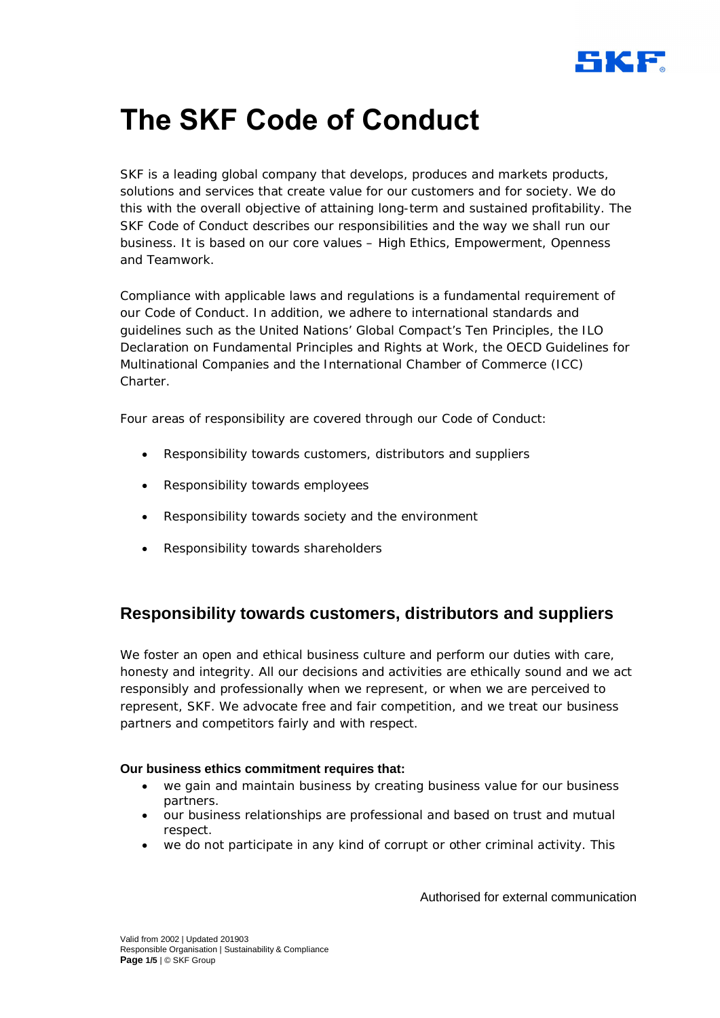

SKF is a leading global company that develops, produces and markets products, solutions and services that create value for our customers and for society. We do this with the overall objective of attaining long-term and sustained profitability. The SKF Code of Conduct describes our responsibilities and the way we shall run our business. It is based on our core values – High Ethics, Empowerment, Openness and Teamwork.

Compliance with applicable laws and regulations is a fundamental requirement of our Code of Conduct. In addition, we adhere to international standards and guidelines such as the United Nations' Global Compact's Ten Principles, the ILO Declaration on Fundamental Principles and Rights at Work, the OECD Guidelines for Multinational Companies and the International Chamber of Commerce (ICC) Charter.

Four areas of responsibility are covered through our Code of Conduct:

- · Responsibility towards customers, distributors and suppliers
- · Responsibility towards employees
- · Responsibility towards society and the environment
- Responsibility towards shareholders

### **Responsibility towards customers, distributors and suppliers**

We foster an open and ethical business culture and perform our duties with care, honesty and integrity. All our decisions and activities are ethically sound and we act responsibly and professionally when we represent, or when we are perceived to represent, SKF. We advocate free and fair competition, and we treat our business partners and competitors fairly and with respect.

#### **Our business ethics commitment requires that:**

- we gain and maintain business by creating business value for our business partners.
- · our business relationships are professional and based on trust and mutual respect.
- · we do not participate in any kind of corrupt or other criminal activity. This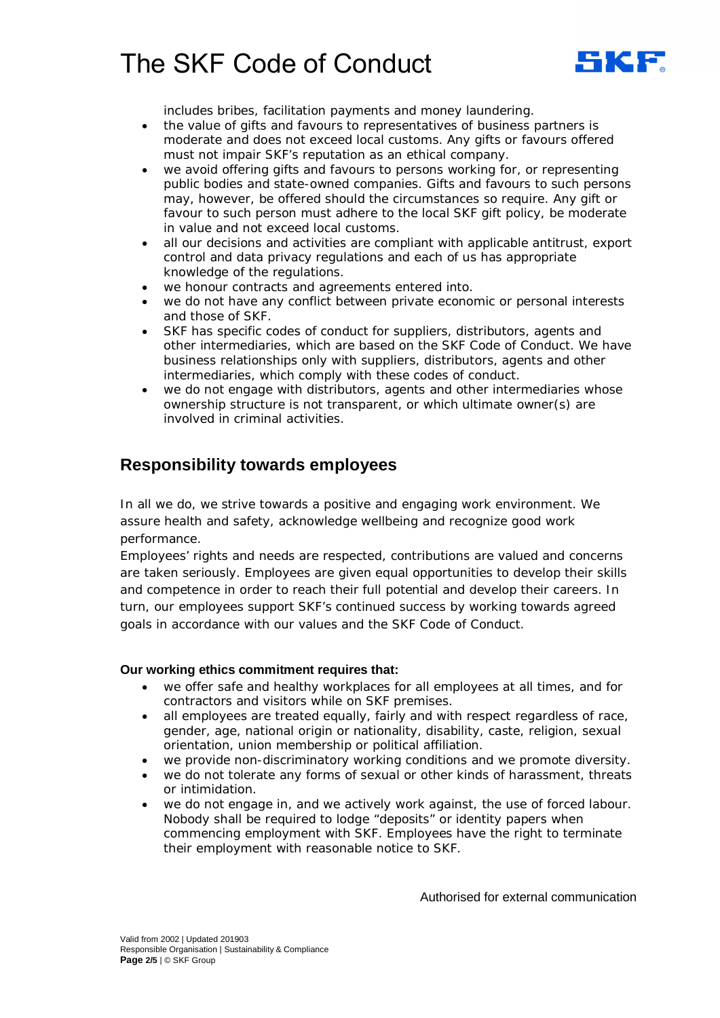

includes bribes, facilitation payments and money laundering.

- the value of gifts and favours to representatives of business partners is moderate and does not exceed local customs. Any gifts or favours offered must not impair SKF's reputation as an ethical company.
- we avoid offering gifts and favours to persons working for, or representing public bodies and state-owned companies. Gifts and favours to such persons may, however, be offered should the circumstances so require. Any gift or favour to such person must adhere to the local SKF gift policy, be moderate in value and not exceed local customs.
- · all our decisions and activities are compliant with applicable antitrust, export control and data privacy regulations and each of us has appropriate knowledge of the regulations.
- · we honour contracts and agreements entered into.
- we do not have any conflict between private economic or personal interests and those of SKF.
- SKF has specific codes of conduct for suppliers, distributors, agents and other intermediaries, which are based on the SKF Code of Conduct. We have business relationships only with suppliers, distributors, agents and other intermediaries, which comply with these codes of conduct.
- we do not engage with distributors, agents and other intermediaries whose ownership structure is not transparent, or which ultimate owner(s) are involved in criminal activities.

## **Responsibility towards employees**

In all we do, we strive towards a positive and engaging work environment. We assure health and safety, acknowledge wellbeing and recognize good work performance.

Employees' rights and needs are respected, contributions are valued and concerns are taken seriously. Employees are given equal opportunities to develop their skills and competence in order to reach their full potential and develop their careers. In turn, our employees support SKF's continued success by working towards agreed goals in accordance with our values and the SKF Code of Conduct.

#### **Our working ethics commitment requires that:**

- · we offer safe and healthy workplaces for all employees at all times, and for contractors and visitors while on SKF premises.
- all employees are treated equally, fairly and with respect regardless of race, gender, age, national origin or nationality, disability, caste, religion, sexual orientation, union membership or political affiliation.
- we provide non-discriminatory working conditions and we promote diversity.
- we do not tolerate any forms of sexual or other kinds of harassment, threats or intimidation.
- we do not engage in, and we actively work against, the use of forced labour. Nobody shall be required to lodge "deposits" or identity papers when commencing employment with SKF. Employees have the right to terminate their employment with reasonable notice to SKF.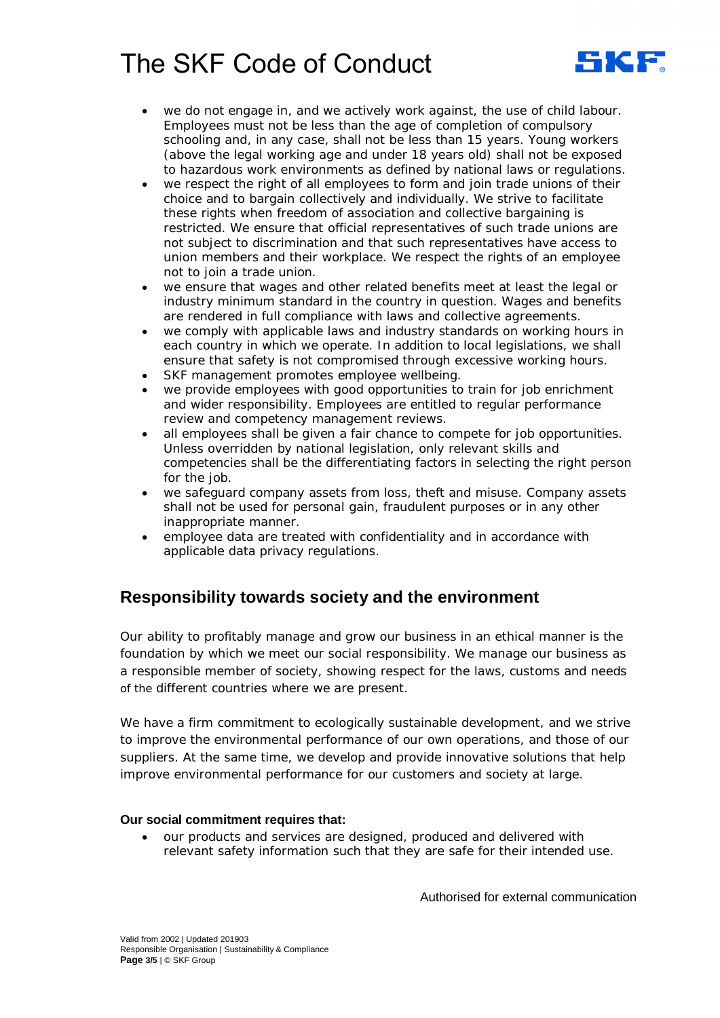

- we do not engage in, and we actively work against, the use of child labour. Employees must not be less than the age of completion of compulsory schooling and, in any case, shall not be less than 15 years. Young workers (above the legal working age and under 18 years old) shall not be exposed to hazardous work environments as defined by national laws or regulations.
- we respect the right of all employees to form and join trade unions of their choice and to bargain collectively and individually. We strive to facilitate these rights when freedom of association and collective bargaining is restricted. We ensure that official representatives of such trade unions are not subject to discrimination and that such representatives have access to union members and their workplace. We respect the rights of an employee not to join a trade union.
- · we ensure that wages and other related benefits meet at least the legal or industry minimum standard in the country in question. Wages and benefits are rendered in full compliance with laws and collective agreements.
- we comply with applicable laws and industry standards on working hours in each country in which we operate. In addition to local legislations, we shall ensure that safety is not compromised through excessive working hours.
- SKF management promotes employee wellbeing.
- we provide employees with good opportunities to train for job enrichment and wider responsibility. Employees are entitled to regular performance review and competency management reviews.
- · all employees shall be given a fair chance to compete for job opportunities. Unless overridden by national legislation, only relevant skills and competencies shall be the differentiating factors in selecting the right person for the job.
- we safeguard company assets from loss, theft and misuse. Company assets shall not be used for personal gain, fraudulent purposes or in any other inappropriate manner.
- · employee data are treated with confidentiality and in accordance with applicable data privacy regulations.

### **Responsibility towards society and the environment**

Our ability to profitably manage and grow our business in an ethical manner is the foundation by which we meet our social responsibility. We manage our business as a responsible member of society, showing respect for the laws, customs and needs of the different countries where we are present.

We have a firm commitment to ecologically sustainable development, and we strive to improve the environmental performance of our own operations, and those of our suppliers. At the same time, we develop and provide innovative solutions that help improve environmental performance for our customers and society at large.

### **Our social commitment requires that:**

· our products and services are designed, produced and delivered with relevant safety information such that they are safe for their intended use.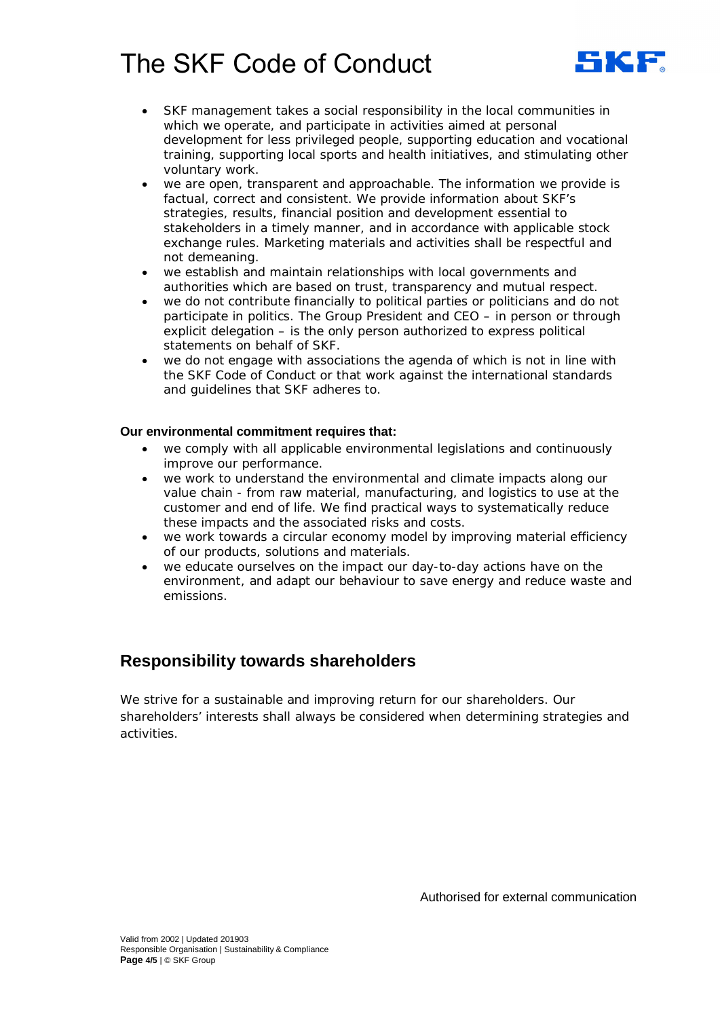

- · SKF management takes a social responsibility in the local communities in which we operate, and participate in activities aimed at personal development for less privileged people, supporting education and vocational training, supporting local sports and health initiatives, and stimulating other voluntary work.
- we are open, transparent and approachable. The information we provide is factual, correct and consistent. We provide information about SKF's strategies, results, financial position and development essential to stakeholders in a timely manner, and in accordance with applicable stock exchange rules. Marketing materials and activities shall be respectful and not demeaning.
- we establish and maintain relationships with local governments and authorities which are based on trust, transparency and mutual respect.
- we do not contribute financially to political parties or politicians and do not participate in politics. The Group President and CEO – in person or through explicit delegation – is the only person authorized to express political statements on behalf of SKF.
- · we do not engage with associations the agenda of which is not in line with the SKF Code of Conduct or that work against the international standards and guidelines that SKF adheres to.

### **Our environmental commitment requires that:**

- · we comply with all applicable environmental legislations and continuously improve our performance.
- · we work to understand the environmental and climate impacts along our value chain - from raw material, manufacturing, and logistics to use at the customer and end of life. We find practical ways to systematically reduce these impacts and the associated risks and costs.
- we work towards a circular economy model by improving material efficiency of our products, solutions and materials.
- we educate ourselves on the impact our day-to-day actions have on the environment, and adapt our behaviour to save energy and reduce waste and emissions.

### **Responsibility towards shareholders**

We strive for a sustainable and improving return for our shareholders. Our shareholders' interests shall always be considered when determining strategies and activities.